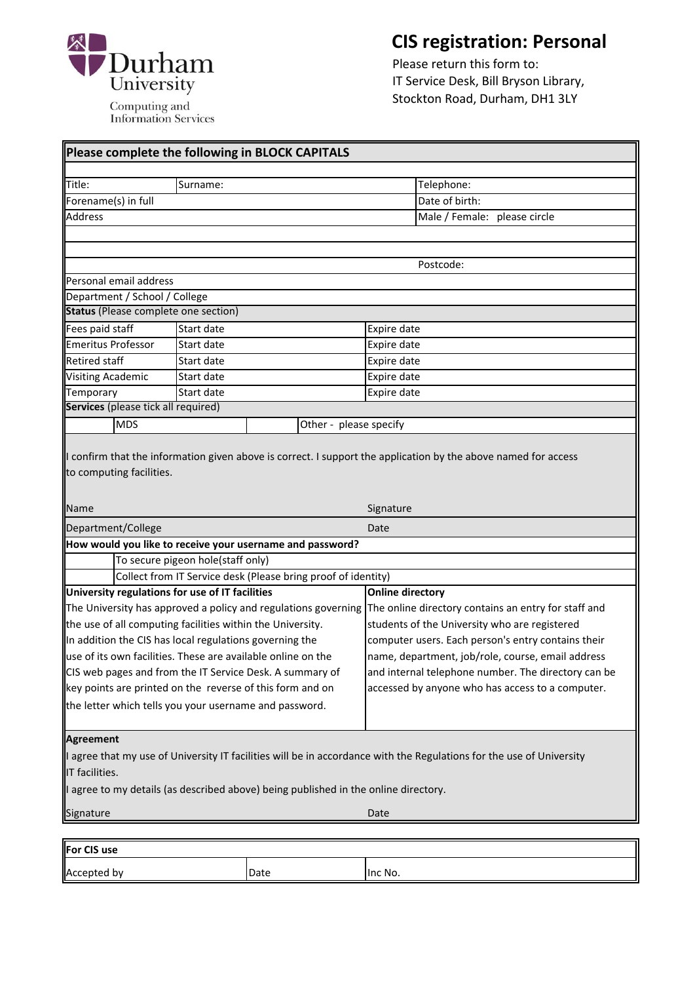

 **CIS registration: Personal**

 Please return this form to: IT Service Desk, Bill Bryson Library, Stockton Road, Durham, DH1 3LY

| Please complete the following in BLOCK CAPITALS                                                                                                                                                                                                                                                                                                                                                                                            |            |      |                                                                                                                                                                                                                                                                                                                             |
|--------------------------------------------------------------------------------------------------------------------------------------------------------------------------------------------------------------------------------------------------------------------------------------------------------------------------------------------------------------------------------------------------------------------------------------------|------------|------|-----------------------------------------------------------------------------------------------------------------------------------------------------------------------------------------------------------------------------------------------------------------------------------------------------------------------------|
|                                                                                                                                                                                                                                                                                                                                                                                                                                            |            |      |                                                                                                                                                                                                                                                                                                                             |
| Title:<br>Forename(s) in full                                                                                                                                                                                                                                                                                                                                                                                                              | Surname:   |      | Telephone:<br>Date of birth:                                                                                                                                                                                                                                                                                                |
| <b>Address</b>                                                                                                                                                                                                                                                                                                                                                                                                                             |            |      | Male / Female: please circle                                                                                                                                                                                                                                                                                                |
|                                                                                                                                                                                                                                                                                                                                                                                                                                            |            |      |                                                                                                                                                                                                                                                                                                                             |
|                                                                                                                                                                                                                                                                                                                                                                                                                                            |            |      |                                                                                                                                                                                                                                                                                                                             |
|                                                                                                                                                                                                                                                                                                                                                                                                                                            |            |      | Postcode:                                                                                                                                                                                                                                                                                                                   |
| Personal email address                                                                                                                                                                                                                                                                                                                                                                                                                     |            |      |                                                                                                                                                                                                                                                                                                                             |
| Department / School / College                                                                                                                                                                                                                                                                                                                                                                                                              |            |      |                                                                                                                                                                                                                                                                                                                             |
| <b>Status</b> (Please complete one section)                                                                                                                                                                                                                                                                                                                                                                                                |            |      |                                                                                                                                                                                                                                                                                                                             |
| Fees paid staff                                                                                                                                                                                                                                                                                                                                                                                                                            | Start date |      | Expire date                                                                                                                                                                                                                                                                                                                 |
| <b>Emeritus Professor</b>                                                                                                                                                                                                                                                                                                                                                                                                                  | Start date |      | Expire date                                                                                                                                                                                                                                                                                                                 |
| <b>Retired staff</b>                                                                                                                                                                                                                                                                                                                                                                                                                       | Start date |      | Expire date                                                                                                                                                                                                                                                                                                                 |
| <b>Visiting Academic</b>                                                                                                                                                                                                                                                                                                                                                                                                                   | Start date |      | Expire date                                                                                                                                                                                                                                                                                                                 |
| Temporary                                                                                                                                                                                                                                                                                                                                                                                                                                  | Start date |      | Expire date                                                                                                                                                                                                                                                                                                                 |
| Services (please tick all required)                                                                                                                                                                                                                                                                                                                                                                                                        |            |      |                                                                                                                                                                                                                                                                                                                             |
| <b>MDS</b><br>Other - please specify                                                                                                                                                                                                                                                                                                                                                                                                       |            |      |                                                                                                                                                                                                                                                                                                                             |
| <b>Name</b>                                                                                                                                                                                                                                                                                                                                                                                                                                |            |      | Signature                                                                                                                                                                                                                                                                                                                   |
| Department/College                                                                                                                                                                                                                                                                                                                                                                                                                         |            |      | Date                                                                                                                                                                                                                                                                                                                        |
| How would you like to receive your username and password?                                                                                                                                                                                                                                                                                                                                                                                  |            |      |                                                                                                                                                                                                                                                                                                                             |
| To secure pigeon hole(staff only)                                                                                                                                                                                                                                                                                                                                                                                                          |            |      |                                                                                                                                                                                                                                                                                                                             |
| Collect from IT Service desk (Please bring proof of identity)                                                                                                                                                                                                                                                                                                                                                                              |            |      |                                                                                                                                                                                                                                                                                                                             |
| University regulations for use of IT facilities                                                                                                                                                                                                                                                                                                                                                                                            |            |      | <b>Online directory</b>                                                                                                                                                                                                                                                                                                     |
| The University has approved a policy and regulations governing<br>the use of all computing facilities within the University.<br>In addition the CIS has local regulations governing the<br>use of its own facilities. These are available online on the<br>CIS web pages and from the IT Service Desk. A summary of<br>key points are printed on the reverse of this form and on<br>the letter which tells you your username and password. |            |      | The online directory contains an entry for staff and<br>students of the University who are registered<br>computer users. Each person's entry contains their<br>name, department, job/role, course, email address<br>and internal telephone number. The directory can be<br>accessed by anyone who has access to a computer. |
|                                                                                                                                                                                                                                                                                                                                                                                                                                            |            |      |                                                                                                                                                                                                                                                                                                                             |
| <b>Agreement</b>                                                                                                                                                                                                                                                                                                                                                                                                                           |            |      |                                                                                                                                                                                                                                                                                                                             |
| I agree that my use of University IT facilities will be in accordance with the Regulations for the use of University                                                                                                                                                                                                                                                                                                                       |            |      |                                                                                                                                                                                                                                                                                                                             |
| IT facilities.                                                                                                                                                                                                                                                                                                                                                                                                                             |            |      |                                                                                                                                                                                                                                                                                                                             |
| I agree to my details (as described above) being published in the online directory.                                                                                                                                                                                                                                                                                                                                                        |            |      |                                                                                                                                                                                                                                                                                                                             |
| Signature                                                                                                                                                                                                                                                                                                                                                                                                                                  |            |      | Date                                                                                                                                                                                                                                                                                                                        |
|                                                                                                                                                                                                                                                                                                                                                                                                                                            |            |      |                                                                                                                                                                                                                                                                                                                             |
| For CIS use                                                                                                                                                                                                                                                                                                                                                                                                                                |            |      |                                                                                                                                                                                                                                                                                                                             |
| Accepted by                                                                                                                                                                                                                                                                                                                                                                                                                                |            | Date | Inc No.                                                                                                                                                                                                                                                                                                                     |